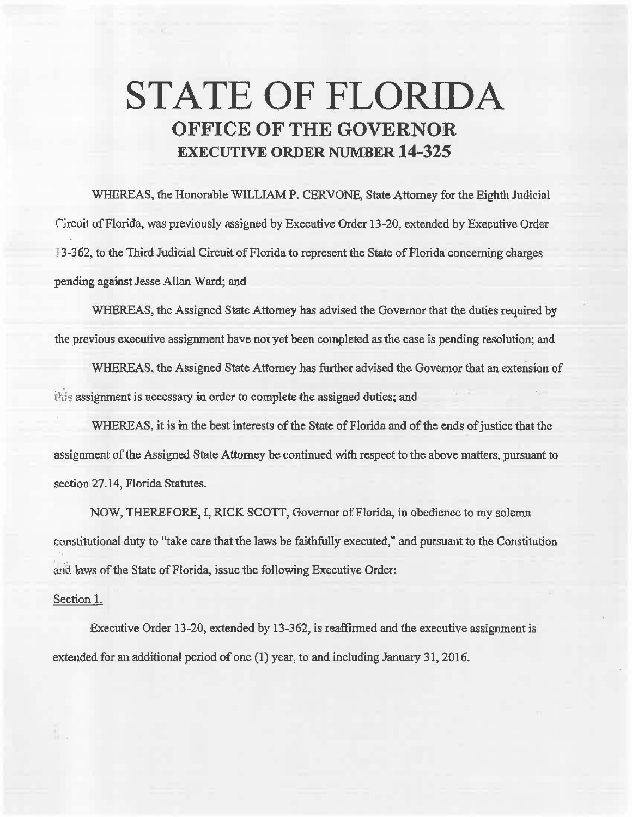## **STATE OF FLORIDA OFFICE OF THE GOVERNOR EXECUTIVE ORDER NUMBER 14-325**

WHEREAS, the Honorable WILLIAM P. CERVONE, State Attorney for the Eighth Judicial r:;rcuit of Florida, was previously assigned by Executive Order 13-20, extended by Executive Order 13-362, to the Third Judicial Circuit of Florida to represent the State of Florida concerning oharges pending against Jesse Allan Ward; and

WHEREAS, the Assigned State Attorney has advised the Governor that the duties required by the previous executive assignment have not yet been completed as the case is pending resolution; and

WHEREAS, the Assigned State Attorney has further advised the Governor that an extension of this assignment is necessary in order to complete the assigned duties; and

WHEREAS, it is in the best interests of the State of Florida and of the ends of justice that the assignment of the Assigned State Attorney be continued with respect to the above matters, pursuant to section 27.14, Florida Statutes.

NOW, THEREFORE, I, RICK SCOTT, Governor of Florida, in obedience to my solemn constitutional duty to "take care that the laws be faithfully executed," and pursuant to the Constitution and laws of the State of Florida, issue the following Executive Order:

## Section 1.

f.,

Executive Order 13-20, extended by 13-362, is reaffirmed and the executive assignment is extended for an additional period of one  $(1)$  year, to and including January 31, 2016.